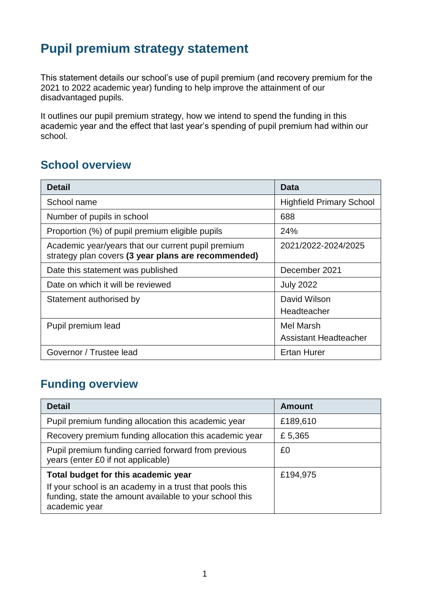### **Pupil premium strategy statement**

This statement details our school's use of pupil premium (and recovery premium for the 2021 to 2022 academic year) funding to help improve the attainment of our disadvantaged pupils.

It outlines our pupil premium strategy, how we intend to spend the funding in this academic year and the effect that last year's spending of pupil premium had within our school.

#### **School overview**

| <b>Detail</b>                                                                                             | Data                            |
|-----------------------------------------------------------------------------------------------------------|---------------------------------|
| School name                                                                                               | <b>Highfield Primary School</b> |
| Number of pupils in school                                                                                | 688                             |
| Proportion (%) of pupil premium eligible pupils                                                           | 24%                             |
| Academic year/years that our current pupil premium<br>strategy plan covers (3 year plans are recommended) | 2021/2022-2024/2025             |
| Date this statement was published                                                                         | December 2021                   |
| Date on which it will be reviewed                                                                         | <b>July 2022</b>                |
| Statement authorised by                                                                                   | David Wilson                    |
|                                                                                                           | Headteacher                     |
| Pupil premium lead                                                                                        | <b>Mel Marsh</b>                |
|                                                                                                           | <b>Assistant Headteacher</b>    |
| Governor / Trustee lead                                                                                   | <b>Ertan Hurer</b>              |

#### **Funding overview**

| <b>Detail</b>                                                                                                                       | <b>Amount</b> |
|-------------------------------------------------------------------------------------------------------------------------------------|---------------|
| Pupil premium funding allocation this academic year                                                                                 | £189,610      |
| Recovery premium funding allocation this academic year                                                                              | £5,365        |
| Pupil premium funding carried forward from previous<br>years (enter £0 if not applicable)                                           | £0            |
| Total budget for this academic year                                                                                                 | £194,975      |
| If your school is an academy in a trust that pools this<br>funding, state the amount available to your school this<br>academic year |               |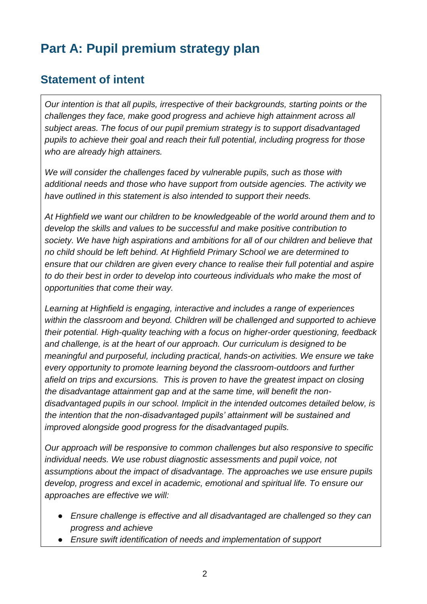## **Part A: Pupil premium strategy plan**

#### **Statement of intent**

*Our intention is that all pupils, irrespective of their backgrounds, starting points or the challenges they face, make good progress and achieve high attainment across all subject areas. The focus of our pupil premium strategy is to support disadvantaged pupils to achieve their goal and reach their full potential, including progress for those who are already high attainers.* 

*We will consider the challenges faced by vulnerable pupils, such as those with additional needs and those who have support from outside agencies. The activity we have outlined in this statement is also intended to support their needs.* 

*At Highfield we want our children to be knowledgeable of the world around them and to develop the skills and values to be successful and make positive contribution to society. We have high aspirations and ambitions for all of our children and believe that no child should be left behind. At Highfield Primary School we are determined to ensure that our children are given every chance to realise their full potential and aspire to do their best in order to develop into courteous individuals who make the most of opportunities that come their way.* 

*Learning at Highfield is engaging, interactive and includes a range of experiences within the classroom and beyond. Children will be challenged and supported to achieve their potential. High-quality teaching with a focus on higher-order questioning, feedback and challenge, is at the heart of our approach. Our curriculum is designed to be meaningful and purposeful, including practical, hands-on activities. We ensure we take every opportunity to promote learning beyond the classroom-outdoors and further afield on trips and excursions. This is proven to have the greatest impact on closing the disadvantage attainment gap and at the same time, will benefit the nondisadvantaged pupils in our school. Implicit in the intended outcomes detailed below, is the intention that the non-disadvantaged pupils' attainment will be sustained and improved alongside good progress for the disadvantaged pupils.* 

*Our approach will be responsive to common challenges but also responsive to specific individual needs. We use robust diagnostic assessments and pupil voice, not assumptions about the impact of disadvantage. The approaches we use ensure pupils develop, progress and excel in academic, emotional and spiritual life. To ensure our approaches are effective we will:*

- *Ensure challenge is effective and all disadvantaged are challenged so they can progress and achieve*
- *Ensure swift identification of needs and implementation of support*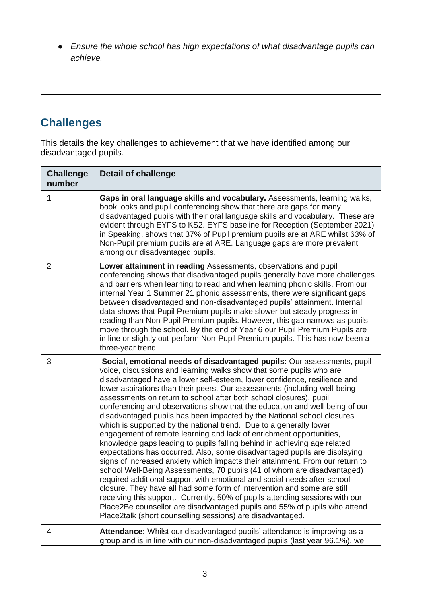● *Ensure the whole school has high expectations of what disadvantage pupils can achieve.* 

### **Challenges**

This details the key challenges to achievement that we have identified among our disadvantaged pupils.

| <b>Challenge</b><br>number | <b>Detail of challenge</b>                                                                                                                                                                                                                                                                                                                                                                                                                                                                                                                                                                                                                                                                                                                                                                                                                                                                                                                                                                                                                                                                                                                                                                                                                                                                                                                                                                 |
|----------------------------|--------------------------------------------------------------------------------------------------------------------------------------------------------------------------------------------------------------------------------------------------------------------------------------------------------------------------------------------------------------------------------------------------------------------------------------------------------------------------------------------------------------------------------------------------------------------------------------------------------------------------------------------------------------------------------------------------------------------------------------------------------------------------------------------------------------------------------------------------------------------------------------------------------------------------------------------------------------------------------------------------------------------------------------------------------------------------------------------------------------------------------------------------------------------------------------------------------------------------------------------------------------------------------------------------------------------------------------------------------------------------------------------|
| 1                          | Gaps in oral language skills and vocabulary. Assessments, learning walks,<br>book looks and pupil conferencing show that there are gaps for many<br>disadvantaged pupils with their oral language skills and vocabulary. These are<br>evident through EYFS to KS2. EYFS baseline for Reception (September 2021)<br>in Speaking, shows that 37% of Pupil premium pupils are at ARE whilst 63% of<br>Non-Pupil premium pupils are at ARE. Language gaps are more prevalent<br>among our disadvantaged pupils.                                                                                                                                                                                                                                                                                                                                                                                                                                                                                                                                                                                                                                                                                                                                                                                                                                                                                |
| $\overline{2}$             | Lower attainment in reading Assessments, observations and pupil<br>conferencing shows that disadvantaged pupils generally have more challenges<br>and barriers when learning to read and when learning phonic skills. From our<br>internal Year 1 Summer 21 phonic assessments, there were significant gaps<br>between disadvantaged and non-disadvantaged pupils' attainment. Internal<br>data shows that Pupil Premium pupils make slower but steady progress in<br>reading than Non-Pupil Premium pupils. However, this gap narrows as pupils<br>move through the school. By the end of Year 6 our Pupil Premium Pupils are<br>in line or slightly out-perform Non-Pupil Premium pupils. This has now been a<br>three-year trend.                                                                                                                                                                                                                                                                                                                                                                                                                                                                                                                                                                                                                                                       |
| 3                          | Social, emotional needs of disadvantaged pupils: Our assessments, pupil<br>voice, discussions and learning walks show that some pupils who are<br>disadvantaged have a lower self-esteem, lower confidence, resilience and<br>lower aspirations than their peers. Our assessments (including well-being<br>assessments on return to school after both school closures), pupil<br>conferencing and observations show that the education and well-being of our<br>disadvantaged pupils has been impacted by the National school closures<br>which is supported by the national trend. Due to a generally lower<br>engagement of remote learning and lack of enrichment opportunities,<br>knowledge gaps leading to pupils falling behind in achieving age related<br>expectations has occurred. Also, some disadvantaged pupils are displaying<br>signs of increased anxiety which impacts their attainment. From our return to<br>school Well-Being Assessments, 70 pupils (41 of whom are disadvantaged)<br>required additional support with emotional and social needs after school<br>closure. They have all had some form of intervention and some are still<br>receiving this support. Currently, 50% of pupils attending sessions with our<br>Place2Be counsellor are disadvantaged pupils and 55% of pupils who attend<br>Place2talk (short counselling sessions) are disadvantaged. |
| 4                          | Attendance: Whilst our disadvantaged pupils' attendance is improving as a<br>group and is in line with our non-disadvantaged pupils (last year 96.1%), we                                                                                                                                                                                                                                                                                                                                                                                                                                                                                                                                                                                                                                                                                                                                                                                                                                                                                                                                                                                                                                                                                                                                                                                                                                  |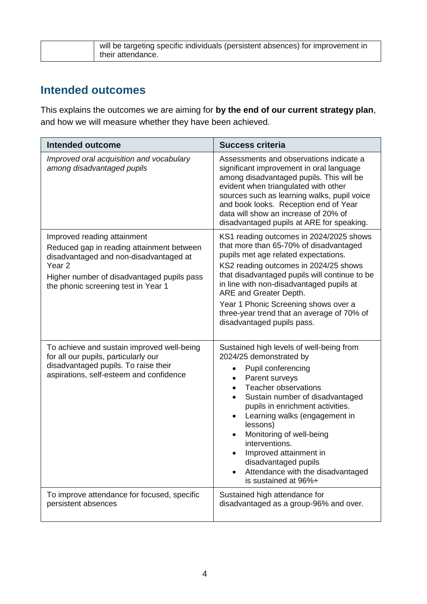| will be targeting specific individuals (persistent absences) for improvement in |
|---------------------------------------------------------------------------------|
| their attendance.                                                               |

#### **Intended outcomes**

This explains the outcomes we are aiming for **by the end of our current strategy plan**, and how we will measure whether they have been achieved.

| <b>Intended outcome</b>                                                                                                                                                                                                      | <b>Success criteria</b>                                                                                                                                                                                                                                                                                                                                                                                                                                                                                   |
|------------------------------------------------------------------------------------------------------------------------------------------------------------------------------------------------------------------------------|-----------------------------------------------------------------------------------------------------------------------------------------------------------------------------------------------------------------------------------------------------------------------------------------------------------------------------------------------------------------------------------------------------------------------------------------------------------------------------------------------------------|
| Improved oral acquisition and vocabulary<br>among disadvantaged pupils                                                                                                                                                       | Assessments and observations indicate a<br>significant improvement in oral language<br>among disadvantaged pupils. This will be<br>evident when triangulated with other<br>sources such as learning walks, pupil voice<br>and book looks. Reception end of Year<br>data will show an increase of 20% of<br>disadvantaged pupils at ARE for speaking.                                                                                                                                                      |
| Improved reading attainment<br>Reduced gap in reading attainment between<br>disadvantaged and non-disadvantaged at<br>Year <sub>2</sub><br>Higher number of disadvantaged pupils pass<br>the phonic screening test in Year 1 | KS1 reading outcomes in 2024/2025 shows<br>that more than 65-70% of disadvantaged<br>pupils met age related expectations.<br>KS2 reading outcomes in 2024/25 shows<br>that disadvantaged pupils will continue to be<br>in line with non-disadvantaged pupils at<br>ARE and Greater Depth.<br>Year 1 Phonic Screening shows over a<br>three-year trend that an average of 70% of<br>disadvantaged pupils pass.                                                                                             |
| To achieve and sustain improved well-being<br>for all our pupils, particularly our<br>disadvantaged pupils. To raise their<br>aspirations, self-esteem and confidence                                                        | Sustained high levels of well-being from<br>2024/25 demonstrated by<br>Pupil conferencing<br>$\bullet$<br>Parent surveys<br>$\bullet$<br><b>Teacher observations</b><br>$\bullet$<br>Sustain number of disadvantaged<br>$\bullet$<br>pupils in enrichment activities.<br>Learning walks (engagement in<br>$\bullet$<br>lessons)<br>Monitoring of well-being<br>$\bullet$<br>interventions.<br>Improved attainment in<br>disadvantaged pupils<br>Attendance with the disadvantaged<br>is sustained at 96%+ |
| To improve attendance for focused, specific<br>persistent absences                                                                                                                                                           | Sustained high attendance for<br>disadvantaged as a group-96% and over.                                                                                                                                                                                                                                                                                                                                                                                                                                   |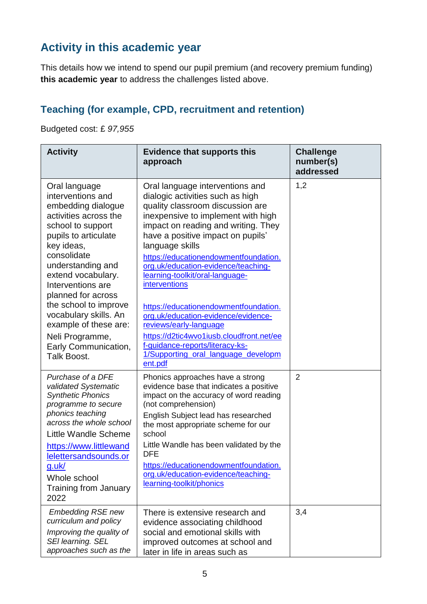### **Activity in this academic year**

This details how we intend to spend our pupil premium (and recovery premium funding) **this academic year** to address the challenges listed above.

#### **Teaching (for example, CPD, recruitment and retention)**

Budgeted cost: £ *97,955*

| <b>Activity</b>                                                                                                                                                                                                                                                                                                                                                                        | <b>Evidence that supports this</b><br>approach                                                                                                                                                                                                                                                                                                                                                                                                                                                                                                                                                                                     | <b>Challenge</b><br>number(s)<br>addressed |
|----------------------------------------------------------------------------------------------------------------------------------------------------------------------------------------------------------------------------------------------------------------------------------------------------------------------------------------------------------------------------------------|------------------------------------------------------------------------------------------------------------------------------------------------------------------------------------------------------------------------------------------------------------------------------------------------------------------------------------------------------------------------------------------------------------------------------------------------------------------------------------------------------------------------------------------------------------------------------------------------------------------------------------|--------------------------------------------|
| Oral language<br>interventions and<br>embedding dialogue<br>activities across the<br>school to support<br>pupils to articulate<br>key ideas,<br>consolidate<br>understanding and<br>extend vocabulary.<br>Interventions are<br>planned for across<br>the school to improve<br>vocabulary skills. An<br>example of these are:<br>Neli Programme,<br>Early Communication,<br>Talk Boost. | Oral language interventions and<br>dialogic activities such as high<br>quality classroom discussion are<br>inexpensive to implement with high<br>impact on reading and writing. They<br>have a positive impact on pupils'<br>language skills<br>https://educationendowmentfoundation.<br>org.uk/education-evidence/teaching-<br>learning-toolkit/oral-language-<br><i>interventions</i><br>https://educationendowmentfoundation.<br>org.uk/education-evidence/evidence-<br>reviews/early-language<br>https://d2tic4wvo1iusb.cloudfront.net/ee<br>f-guidance-reports/literacy-ks-<br>1/Supporting oral language developm<br>ent.pdf | 1,2                                        |
| Purchase of a DFE<br>validated Systematic<br><b>Synthetic Phonics</b><br>programme to secure<br>phonics teaching<br>across the whole school<br>Little Wandle Scheme<br>https://www.littlewand<br>lelettersandsounds.or<br><u>g.uk/</u><br>Whole school<br><b>Training from January</b><br>2022                                                                                         | Phonics approaches have a strong<br>evidence base that indicates a positive<br>impact on the accuracy of word reading<br>(not comprehension)<br>English Subject lead has researched<br>the most appropriate scheme for our<br>school<br>Little Wandle has been validated by the<br><b>DFE</b><br>https://educationendowmentfoundation.<br>org.uk/education-evidence/teaching-<br>learning-toolkit/phonics                                                                                                                                                                                                                          | $\overline{2}$                             |
| <b>Embedding RSE new</b><br>curriculum and policy<br>Improving the quality of<br><b>SEI learning. SEL</b><br>approaches such as the                                                                                                                                                                                                                                                    | There is extensive research and<br>evidence associating childhood<br>social and emotional skills with<br>improved outcomes at school and<br>later in life in areas such as                                                                                                                                                                                                                                                                                                                                                                                                                                                         | 3,4                                        |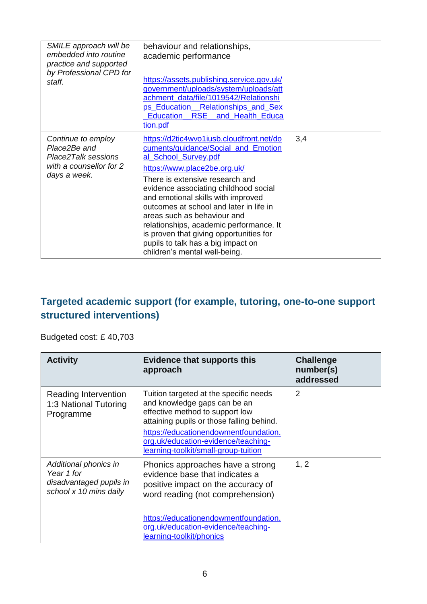| SMILE approach will be<br>embedded into routine<br>practice and supported<br>by Professional CPD for<br>staff. | behaviour and relationships,<br>academic performance<br>https://assets.publishing.service.gov.uk/<br>government/uploads/system/uploads/att<br>achment_data/file/1019542/Relationshi<br>ps Education Relationships and Sex<br><b>RSE</b><br>Education<br>and Health Educa<br>tion.pdf                                                                                                                                                                                                             |     |
|----------------------------------------------------------------------------------------------------------------|--------------------------------------------------------------------------------------------------------------------------------------------------------------------------------------------------------------------------------------------------------------------------------------------------------------------------------------------------------------------------------------------------------------------------------------------------------------------------------------------------|-----|
| Continue to employ<br>Place2Be and<br>Place2Talk sessions<br>with a counsellor for 2<br>days a week.           | https://d2tic4wvo1iusb.cloudfront.net/do<br>cuments/guidance/Social_and_Emotion<br>al_School_Survey.pdf<br>https://www.place2be.org.uk/<br>There is extensive research and<br>evidence associating childhood social<br>and emotional skills with improved<br>outcomes at school and later in life in<br>areas such as behaviour and<br>relationships, academic performance. It<br>is proven that giving opportunities for<br>pupils to talk has a big impact on<br>children's mental well-being. | 3,4 |

#### **Targeted academic support (for example, tutoring, one-to-one support structured interventions)**

Budgeted cost: £ 40,703

| <b>Activity</b>                                                                          | <b>Evidence that supports this</b><br>approach                                                                                                                                                                                                                                 | <b>Challenge</b><br>number(s)<br>addressed |
|------------------------------------------------------------------------------------------|--------------------------------------------------------------------------------------------------------------------------------------------------------------------------------------------------------------------------------------------------------------------------------|--------------------------------------------|
| Reading Intervention<br>1:3 National Tutoring<br>Programme                               | Tuition targeted at the specific needs<br>and knowledge gaps can be an<br>effective method to support low<br>attaining pupils or those falling behind.<br>https://educationendowmentfoundation.<br>org.uk/education-evidence/teaching-<br>learning-toolkit/small-group-tuition | 2                                          |
| Additional phonics in<br>Year 1 for<br>disadvantaged pupils in<br>school x 10 mins daily | Phonics approaches have a strong<br>evidence base that indicates a<br>positive impact on the accuracy of<br>word reading (not comprehension)                                                                                                                                   | 1, 2                                       |
|                                                                                          | https://educationendowmentfoundation.<br>org.uk/education-evidence/teaching-<br>learning-toolkit/phonics                                                                                                                                                                       |                                            |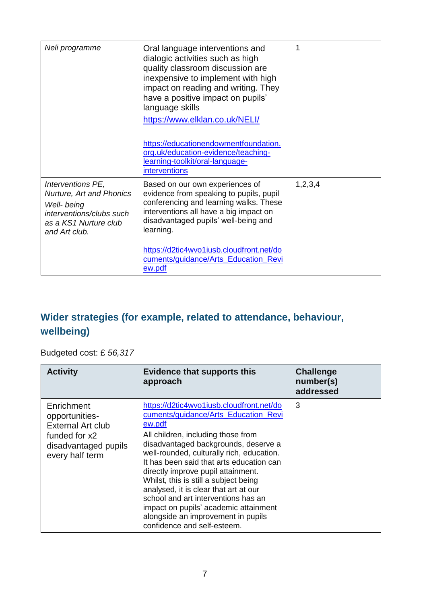| Neli programme                                                                                                                     | Oral language interventions and<br>dialogic activities such as high<br>quality classroom discussion are<br>inexpensive to implement with high<br>impact on reading and writing. They<br>have a positive impact on pupils'<br>language skills<br>https://www.elklan.co.uk/NELI/<br>https://educationendowmentfoundation.<br>org.uk/education-evidence/teaching-<br>learning-toolkit/oral-language-<br>interventions | 1       |
|------------------------------------------------------------------------------------------------------------------------------------|--------------------------------------------------------------------------------------------------------------------------------------------------------------------------------------------------------------------------------------------------------------------------------------------------------------------------------------------------------------------------------------------------------------------|---------|
| Interventions PE,<br>Nurture, Art and Phonics<br>Well- being<br>interventions/clubs such<br>as a KS1 Nurture club<br>and Art club. | Based on our own experiences of<br>evidence from speaking to pupils, pupil<br>conferencing and learning walks. These<br>interventions all have a big impact on<br>disadvantaged pupils' well-being and<br>learning.<br>https://d2tic4wvo1iusb.cloudfront.net/do<br>cuments/guidance/Arts_Education_Revi<br>ew.pdf                                                                                                  | 1,2,3,4 |

#### **Wider strategies (for example, related to attendance, behaviour, wellbeing)**

Budgeted cost: £ *56,317*

| <b>Activity</b>                                                                                                      | <b>Evidence that supports this</b><br>approach                                                                                                                                                                                                                                                                                                                                                                                                                                                                                                 | <b>Challenge</b><br>number(s)<br>addressed |
|----------------------------------------------------------------------------------------------------------------------|------------------------------------------------------------------------------------------------------------------------------------------------------------------------------------------------------------------------------------------------------------------------------------------------------------------------------------------------------------------------------------------------------------------------------------------------------------------------------------------------------------------------------------------------|--------------------------------------------|
| Enrichment<br>opportunities-<br><b>External Art club</b><br>funded for x2<br>disadvantaged pupils<br>every half term | https://d2tic4wvo1iusb.cloudfront.net/do<br>cuments/guidance/Arts Education Revi<br>ew.pdf<br>All children, including those from<br>disadvantaged backgrounds, deserve a<br>well-rounded, culturally rich, education.<br>It has been said that arts education can<br>directly improve pupil attainment.<br>Whilst, this is still a subject being<br>analysed, it is clear that art at our<br>school and art interventions has an<br>impact on pupils' academic attainment<br>alongside an improvement in pupils<br>confidence and self-esteem. | 3                                          |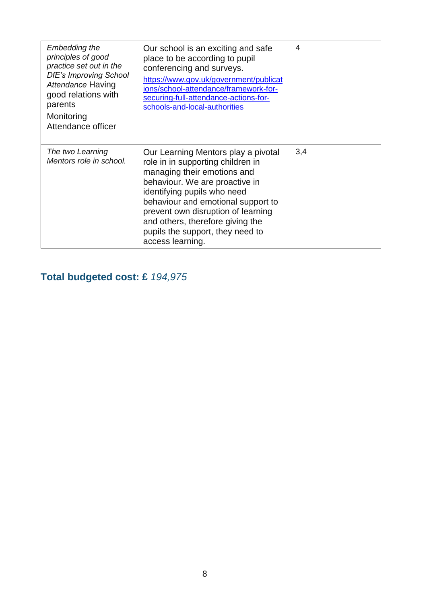| Embedding the<br>principles of good<br>practice set out in the<br>DfE's Improving School<br>Attendance Having<br>good relations with<br>parents<br>Monitoring<br>Attendance officer | Our school is an exciting and safe<br>place to be according to pupil<br>conferencing and surveys.<br>https://www.gov.uk/government/publicat<br>ions/school-attendance/framework-for-<br>securing-full-attendance-actions-for-<br>schools-and-local-authorities                                                                                   | 4   |
|-------------------------------------------------------------------------------------------------------------------------------------------------------------------------------------|--------------------------------------------------------------------------------------------------------------------------------------------------------------------------------------------------------------------------------------------------------------------------------------------------------------------------------------------------|-----|
| The two Learning<br>Mentors role in school.                                                                                                                                         | Our Learning Mentors play a pivotal<br>role in in supporting children in<br>managing their emotions and<br>behaviour. We are proactive in<br>identifying pupils who need<br>behaviour and emotional support to<br>prevent own disruption of learning<br>and others, therefore giving the<br>pupils the support, they need to<br>access learning. | 3,4 |

**Total budgeted cost: £** *194,975*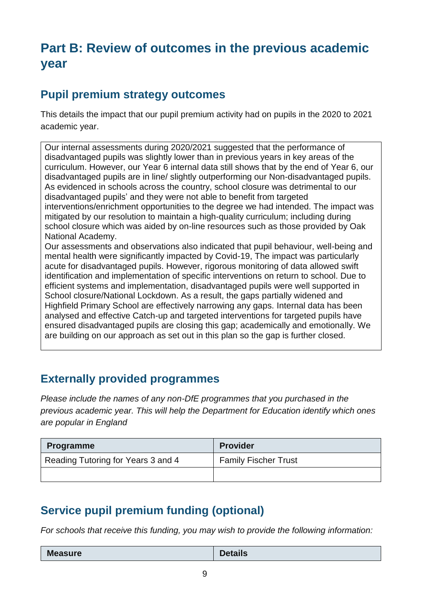## **Part B: Review of outcomes in the previous academic year**

#### **Pupil premium strategy outcomes**

This details the impact that our pupil premium activity had on pupils in the 2020 to 2021 academic year.

Our internal assessments during 2020/2021 suggested that the performance of disadvantaged pupils was slightly lower than in previous years in key areas of the curriculum. However, our Year 6 internal data still shows that by the end of Year 6, our disadvantaged pupils are in line/ slightly outperforming our Non-disadvantaged pupils. As evidenced in schools across the country, school closure was detrimental to our disadvantaged pupils' and they were not able to benefit from targeted interventions/enrichment opportunities to the degree we had intended. The impact was mitigated by our resolution to maintain a high-quality curriculum; including during school closure which was aided by on-line resources such as those provided by Oak National Academy. Our assessments and observations also indicated that pupil behaviour, well-being and mental health were significantly impacted by Covid-19, The impact was particularly acute for disadvantaged pupils. However, rigorous monitoring of data allowed swift identification and implementation of specific interventions on return to school. Due to efficient systems and implementation, disadvantaged pupils were well supported in School closure/National Lockdown. As a result, the gaps partially widened and Highfield Primary School are effectively narrowing any gaps. Internal data has been analysed and effective Catch-up and targeted interventions for targeted pupils have ensured disadvantaged pupils are closing this gap; academically and emotionally. We are building on our approach as set out in this plan so the gap is further closed.

#### **Externally provided programmes**

*Please include the names of any non-DfE programmes that you purchased in the previous academic year. This will help the Department for Education identify which ones are popular in England*

| <b>Programme</b>                   | <b>Provider</b>             |
|------------------------------------|-----------------------------|
| Reading Tutoring for Years 3 and 4 | <b>Family Fischer Trust</b> |
|                                    |                             |

### **Service pupil premium funding (optional)**

*For schools that receive this funding, you may wish to provide the following information:* 

| <b>Measure</b> | <b>Details</b> |
|----------------|----------------|
|                |                |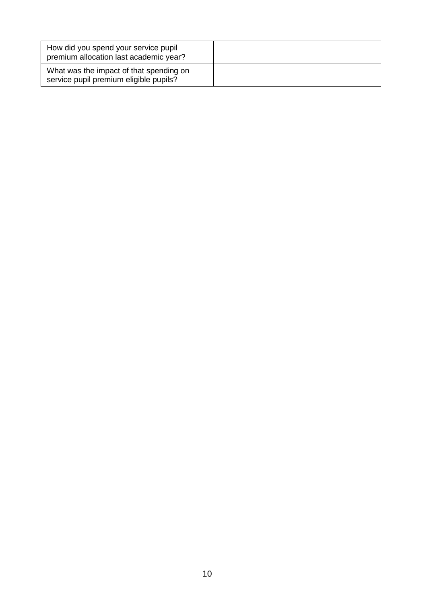| How did you spend your service pupil<br>premium allocation last academic year?    |  |
|-----------------------------------------------------------------------------------|--|
| What was the impact of that spending on<br>service pupil premium eligible pupils? |  |